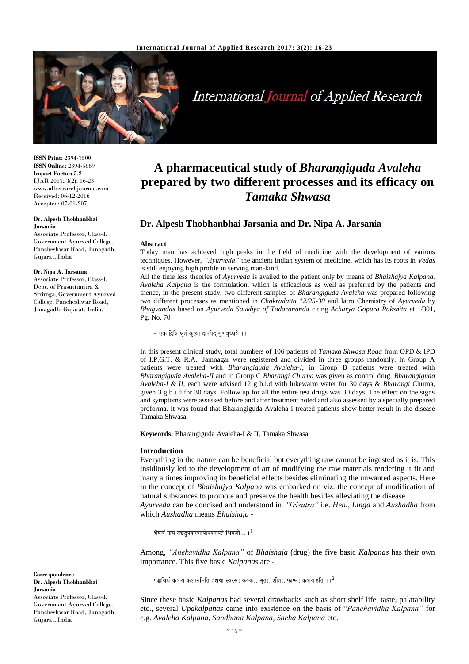

# International Journal of Applied Research

**ISSN Print:** 2394-7500 **ISSN Online:** 2394-5869 **Impact Factor:** 5.2 IJAR 2017; 3(2): 16-23 www.allresearchjournal.com Received: 06-12-2016 Accepted: 07-01-207

#### **Dr. Alpesh Thobhanbhai Jarsania**

Associate Professor, Class-I, Government Ayurved College, Pancheshwar Road, Junagadh, Gujarat, India

#### **Dr. Nipa A. Jarsania**

Associate Professor, Class-I, Dept. of Prasutitantra & Striroga, Government Ayurved College, Pancheshwar Road, Junagadh, Gujarat, India.

**Correspondence Dr. Alpesh Thobhanbhai Jarsania** Associate Professor, Class-I, Government Ayurved College, Pancheshwar Road, Junagadh, Gujarat, India

## **A pharmaceutical study of** *Bharangiguda Avaleha* **prepared by two different processes and its efficacy on**  *Tamaka Shwasa*

### **Dr. Alpesh Thobhanbhai Jarsania and Dr. Nipa A. Jarsania**

#### **Abstract**

Today man has achieved high peaks in the field of medicine with the development of various techniques. However, *"Ayurveda"* the ancient Indian system of medicine, which has its roots in *Vedas* is still enjoying high profile in serving man-kind.

All the time less theories of *Ayurveda* is availed to the patient only by means of *Bhaishajya Kalpana. Avaleha Kalpana* is the formulation, which is efficacious as well as preferred by the patients and thence, in the present study, two different samples of *Bharangiguda Avaleha* was prepared following two different processes as mentioned in *Chakradatta 12/25-30* and Iatro Chemistry of *Ayurveda* by *Bhagvandas* based on *Ayurveda Saukhya of Todarananda* citing *Acharya Gopura Rakshita* at 1/301, Pg. No. 70

- एक द्वित्रि श्रुतं कृत्वा दापयेद् गुणवृध्धये ।।

In this present clinical study, total numbers of 106 patients of *Tamaka Shwasa Roga* from OPD & IPD of I.P.G.T. & R.A., Jamnagar were registered and divided in three groups randomly. In Group A patients were treated with *Bharangiguda Avaleha-I*, in Group B patients were treated with *Bharangiguda Avaleha-II* and in Group C *Bharangi Churna* was given as control drug. *Bharangiguda Avaleha-I & II*, each were advised 12 g b.i.d with lukewarm water for 30 days & *Bharangi* Churna, given 3 g b.i.d for 30 days. Follow up for all the entire test drugs was 30 days. The effect on the signs and symptoms were assessed before and after treatment noted and also assessed by a specially prepared proforma. It was found that Bharangiguda Avaleha-I treated patients show better result in the disease Tamaka Shwasa.

**Keywords:** Bharangiguda Avaleha-I & II, Tamaka Shwasa

#### **Introduction**

Everything in the nature can be beneficial but everything raw cannot be ingested as it is. This insidiously led to the development of art of modifying the raw materials rendering it fit and many a times improving its beneficial effects besides eliminating the unwanted aspects. Here in the concept of *Bhaishajya Kalpana* was embarked on viz. the concept of modification of natural substances to promote and preserve the health besides alleviating the disease. *Ayurveda* can be concised and understood in *"Trisutra"* i.e. *Hetu, Linga* and *Aushadha* from

भैषजं नाम तद्यदुपकरणायोपकल्पते भिषजो...। $^{\rm l}$ 

which *Aushadha* means *Bhaishaja* -

Among, *"Anekavidha Kalpana"* of *Bhaishaja* (drug) the five basic *Kalpanas* has their own importance. This five basic *Kalpanas* are -

पञ्चविधं कषाय कल्पनमिति तद्यथा स्वरस: कल्क:, श्रृत:, शीत:, फाण्ट: कषाय इति ।। $^{\rm 2}$ 

Since these basic *Kalpanas* had several drawbacks such as short shelf life, taste, palatability etc., several *Upakalpanas* came into existence on the basis of "*Panchavidha Kalpana"* for e.g. *Avaleha Kalpana, Sandhana Kalpana, Sneha Kalpana* etc.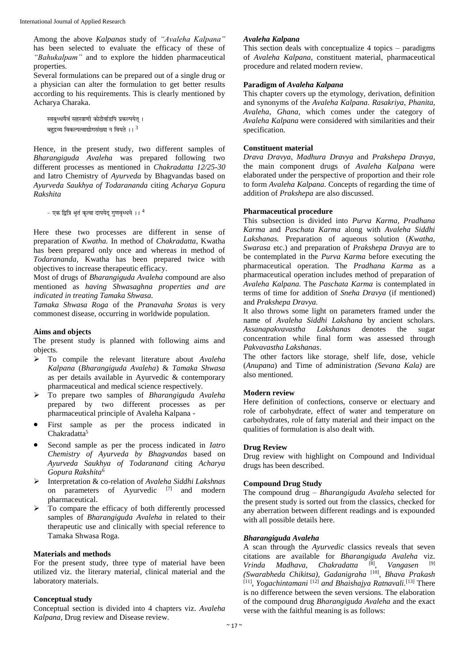Among the above *Kalpanas* study of *"Avaleha Kalpana"* has been selected to evaluate the efficacy of these of *"Bahukalpam"* and to explore the hidden pharmaceutical properties.

Several formulations can be prepared out of a single drug or a physician can alter the formulation to get better results according to his requirements. This is clearly mentioned by Acharya Charaka.

स्वबुध्धयैवं सहस्त्राणी कोटीर्वाडपि प्रकल्पयेत् । बहदव्य विकल्पत्वाद्योगसंख्या न वियते ।  $\mathrm{I}^3$ 

Hence, in the present study, two different samples of *Bharangiguda Avaleha* was prepared following two different processes as mentioned in *Chakradatta 12/25-30* and Iatro Chemistry of *Ayurveda* by Bhagvandas based on *Ayurveda Saukhya of Todarananda* citing *Acharya Gopura Rakshita*

```
- एक दित्रि श्रतं कत्वा दापयेद गणवध्धये ।। ^{\rm 4}
```
Here these two processes are different in sense of preparation of *Kwatha.* In method of *Chakradatta*, Kwatha has been prepared only once and whereas in method of *Todarananda*, Kwatha has been prepared twice with objectives to increase therapeutic efficacy.

Most of drugs of *Bharangiguda Avaleha* compound are also mentioned as *having Shwasaghna properties and are indicated in treating Tamaka Shwasa.* 

*Tamaka Shwasa Roga* of the *Pranavaha Srotas* is very commonest disease, occurring in worldwide population.

#### **Aims and objects**

The present study is planned with following aims and objects.

- To compile the relevant literature about *Avaleha Kalpana* (*Bharangiguda Avaleha*) & *Tamaka Shwasa*  as per details available in Ayurvedic & contemporary pharmaceutical and medical science respectively.
- To prepare two samples of *Bharangiguda Avaleha* prepared by two different processes as per pharmaceutical principle of Avaleha Kalpana -
- First sample as per the process indicated in Chakradatta<sup>5</sup>
- Second sample as per the process indicated in *Iatro Chemistry of Ayurveda by Bhagvandas* based on *Ayurveda Saukhya of Todaranand* citing *Acharya Gopura Rakshita*<sup>6</sup>
- Interpretation & co-relation of *Avaleha Siddhi Lakshnas*  on parameters of Ayurvedic<sup>[7]</sup> and modern pharmaceutical.
- $\triangleright$  To compare the efficacy of both differently processed samples of *Bharangiguda Avaleha* in related to their therapeutic use and clinically with special reference to Tamaka Shwasa Roga.

#### **Materials and methods**

For the present study, three type of material have been utilized viz. the literary material, clinical material and the laboratory materials.

#### **Conceptual study**

Conceptual section is divided into 4 chapters viz. *Avaleha Kalpana,* Drug review and Disease review.

#### *Avaleha Kalpana*

This section deals with conceptualize 4 topics – paradigms of *Avaleha Kalpana*, constituent material, pharmaceutical procedure and related modern review.

#### **Paradigm of** *Avaleha Kalpana*

This chapter covers up the etymology, derivation, definition and synonyms of the *Avaleha Kalpana. Rasakriya*, *Phanita*, *Avaleha*, *Ghana,* which comes under the category of *Avaleha Kalpana* were considered with similarities and their specification.

#### **Constituent material**

*Drava Dravya, Madhura Dravya* and *Prakshepa Dravya*, the main component drugs of *Avaleha Kalpana* were elaborated under the perspective of proportion and their role to form *Avaleha Kalpana*. Concepts of regarding the time of addition of *Prakshepa* are also discussed.

#### **Pharmaceutical procedure**

This subsection is divided into *Purva Karma, Pradhana Karma* and *Paschata Karma* along with *Avaleha Siddhi Lakshanas.* Preparation of aqueous solution (*Kwatha, Swarasa* etc.) and preparation of *Prakshepa Dravya* are to be contemplated in the *Purva Karma* before executing the pharmaceutical operation. The *Pradhana Karma* as a pharmaceutical operation includes method of preparation of *Avaleha Kalpana.* The *Paschata Karma* is contemplated in terms of time for addition of *Sneha Dravya* (if mentioned) and *Prakshepa Dravya.*

It also throws some light on parameters framed under the name of *Avaleha Siddhi Lakshana* by ancient scholars. *Assanapakvavastha Lakshanas* denotes the sugar concentration while final form was assessed through *Pakvavastha Lakshanas*.

The other factors like storage, shelf life, dose, vehicle (*Anupana*) and Time of administration *(Sevana Kala)* are also mentioned.

#### **Modern review**

Here definition of confections, conserve or electuary and role of carbohydrate, effect of water and temperature on carbohydrates, role of fatty material and their impact on the qualities of formulation is also dealt with.

#### **Drug Review**

Drug review with highlight on Compound and Individual drugs has been described.

#### **Compound Drug Study**

The compound drug – *Bharangiguda Avaleha* selected for the present study is sorted out from the classics, checked for any aberration between different readings and is expounded with all possible details here.

#### *Bharangiguda Avaleha*

A scan through the *Ayurvedic* classics reveals that seven citations are available for *Bharangiguda Avaleha* viz. *Vrinda Madhava, Chakradatta* [8] , *Vangasen* [9] *(Swarabheda Chikitsa), Gadanigraha* [10] , *Bhava Prakash* [11] , *Yogachintamani* [12] *and Bhaishajya Ratnavali.* [13] There is no difference between the seven versions. The elaboration of the compound drug *Bharangiguda Avaleha* and the exact verse with the faithful meaning is as follows: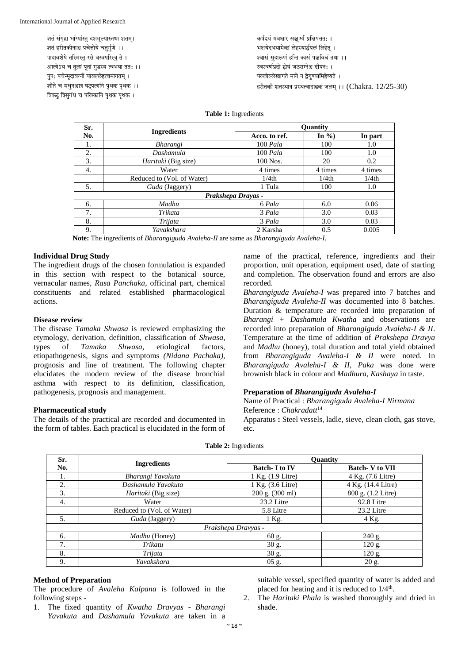शतं संगृह्य भांग्यास्तु दशमूल्यास्तथा शतम्। शतं हरीतकीनाश्च पचेत्तोये चतुर्गुणे ।। पादावशेषे तस्मिस्त् रसे वस्त्रपरिस्त्र् ते । आलोऽय च तलां पतां गडस्य त्वभया तत: ।। पन: पचेन्मदावग्नौ यावल्लेहत्वमागतम । शीते च मधुनश्चात्र षट्पलानि पृथक पृथक ।। त्रिकट् त्रिसुगंध च पलिकानि पृथक पृथक ।

कर्षद्वयं यवक्षार सञ्चण्यं प्रक्षिपत्ततः । भक्षयेदभयामेकां लेहस्यार्द्धपलं लिहेत् । .<br>श्वासं सुदारूणं हन्ति कासं पञ्चविधं तथा ।। स्वरवर्णप्रदो ह्येषं जठराग्नेश्च दीपन: । पल्लोल्लेखागते माने न द्वेगुण्यामिहेष्यते । हरीतकी शतस्यात्र प्रस्थत्वादाढकं जलम् ।। (Chakra.  $12/25-30$ )

#### **Table 1:** Ingredients

| Sr. |                            | Ouantity          |                   |                   |  |  |
|-----|----------------------------|-------------------|-------------------|-------------------|--|--|
| No. | <b>Ingredients</b>         | Acco, to ref.     | In $\%$ )         | In part           |  |  |
| 1.  | Bharangi                   | $100$ Pala        | 100               | 1.0               |  |  |
| 2.  | Dashamula                  | $100$ Pala        | 100               | 1.0               |  |  |
| 3.  | <i>Haritaki</i> (Big size) | 100 Nos.          | 20                | 0.2               |  |  |
| 4.  | Water                      | 4 times           | 4 times           | 4 times           |  |  |
|     | Reduced to (Vol. of Water) | 1/4 <sup>th</sup> | 1/4 <sub>th</sub> | 1/4 <sub>th</sub> |  |  |
| 5.  | Guda (Jaggery)             | 1 Tula            | 100               | 1.0               |  |  |
|     | Prakshepa Drayas -         |                   |                   |                   |  |  |
| 6.  | Madhu                      | 6 Pala            | 6.0               | 0.06              |  |  |
| 7.  | Trikata                    | 3 Pala            | 3.0               | 0.03              |  |  |
| 8.  | Trijata                    | 3 Pala            | 3.0               | 0.03              |  |  |
| 9.  | Yavakshara                 | 2 Karsha          | 0.5               | 0.005             |  |  |

**Note:** The ingredients of *Bharangiguda Avaleha-II* are same as *Bharangiguda Avaleha-I*.

#### **Individual Drug Study**

The ingredient drugs of the chosen formulation is expanded in this section with respect to the botanical source, vernacular names, *Rasa Panchaka*, officinal part, chemical constituents and related established pharmacological actions.

#### **Disease review**

The disease *Tamaka Shwasa* is reviewed emphasizing the etymology, derivation, definition, classification of *Shwasa*, types of *Tamaka Shwasa,* etiological factors, etiopathogenesis, signs and symptoms *(Nidana Pachaka),* prognosis and line of treatment. The following chapter elucidates the modern review of the disease bronchial asthma with respect to its definition, classification, pathogenesis, prognosis and management.

#### **Pharmaceutical study**

The details of the practical are recorded and documented in the form of tables. Each practical is elucidated in the form of

name of the practical, reference, ingredients and their proportion, unit operation, equipment used, date of starting and completion. The observation found and errors are also recorded.

*Bharangiguda Avaleha-I* was prepared into 7 batches and *Bharangiguda Avaleha-II* was documented into 8 batches. Duration & temperature are recorded into preparation of *Bharangi + Dashamula Kwatha* and observations are recorded into preparation of *Bharangiguda Avaleha-I & II*. Temperature at the time of addition of *Prakshepa Dravya*  and *Madhu* (honey), total duration and total yield obtained from *Bharangiguda Avaleha-I & II* were noted. In *Bharangiguda Avaleha-I & II, Paka* was done were brownish black in colour and *Madhura, Kashaya* in taste.

#### **Preparation of** *Bharangiguda Avaleha-I*

Name of Practical : *Bharangiguda Avaleha-I Nirmana* Reference : *Chakradatt*<sup>14</sup>

Apparatus **:** Steel vessels, ladle, sieve, clean cloth, gas stove, etc.

| Sr. |                            | Quantity             |                       |  |  |
|-----|----------------------------|----------------------|-----------------------|--|--|
| No. | <b>Ingredients</b>         | <b>Batch-I to IV</b> | <b>Batch-V to VII</b> |  |  |
| 1.  | Bharangi Yavakuta          | 1 Kg. (1.9 Litre)    | 4 Kg. (7.6 Litre)     |  |  |
| 2.  | Dashamula Yavakuta         | 1 Kg. (3.6 Litre)    | 4 Kg. (14.4 Litre)    |  |  |
| 3.  | <i>Haritaki</i> (Big size) | 200 g. (300 ml)      | 800 g. (1.2 Litre)    |  |  |
| 4.  | Water                      | 23.2 Litre           | 92.8 Litre            |  |  |
|     | Reduced to (Vol. of Water) | 5.8 Litre            | 23.2 Litre            |  |  |
| 5.  | Guda (Jaggery)             | $1$ Kg.              | 4 Kg.                 |  |  |
|     |                            | Prakshepa Dravyas -  |                       |  |  |
| 6.  | Madhu (Honey)              | 60 g.                | 240 g.                |  |  |
| 7.  | Trikatu                    | 30 g.                | 120 g.                |  |  |
| 8.  | Trijata                    | 30 g.                | $120$ g.              |  |  |
| 9.  | Yavakshara                 | $05$ g.              | 20 g.                 |  |  |

#### **Table 2:** Ingredients

#### **Method of Preparation**

The procedure of *Avaleha Kalpana* is followed in the following steps -

1. The fixed quantity of *Kwatha Dravyas* - *Bharangi Yavakuta* and *Dashamula Yavakuta* are taken in a suitable vessel, specified quantity of water is added and placed for heating and it is reduced to  $1/4^{\text{th}}$ .

2. The *Haritaki Phala* is washed thoroughly and dried in shade.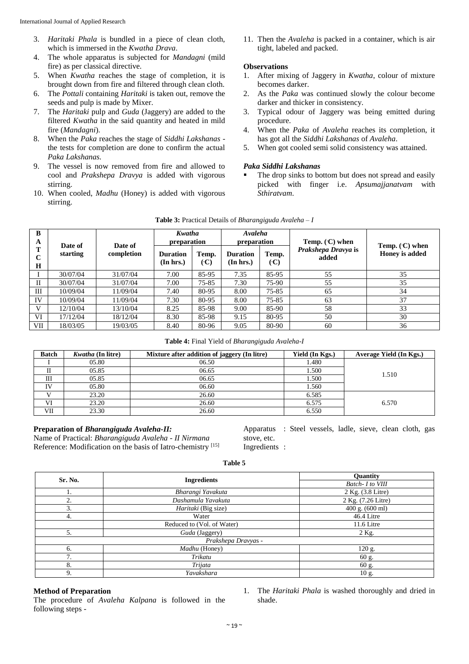- 3. *Haritaki Phala* is bundled in a piece of clean cloth, which is immersed in the *Kwatha Drava*.
- 4. The whole apparatus is subjected for *Mandagni* (mild fire) as per classical directive.
- 5. When *Kwatha* reaches the stage of completion, it is brought down from fire and filtered through clean cloth.
- 6. The *Pottali* containing *Haritaki* is taken out, remove the seeds and pulp is made by Mixer.
- 7. The *Haritaki* pulp and *Guda* (Jaggery) are added to the filtered *Kwatha* in the said quantity and heated in mild fire (*Mandagni*).
- 8. When the *Paka* reaches the stage of *Siddhi Lakshanas*  the tests for completion are done to confirm the actual *Paka Lakshanas.*
- 9. The vessel is now removed from fire and allowed to cool and *Prakshepa Dravya* is added with vigorous stirring.
- 10. When cooled, *Madhu* (Honey) is added with vigorous stirring.

11. Then the *Avaleha* is packed in a container, which is air tight, labeled and packed.

#### **Observations**

- 1. After mixing of Jaggery in *Kwatha*, colour of mixture becomes darker.
- 2. As the *Paka* was continued slowly the colour become darker and thicker in consistency.
- 3. Typical odour of Jaggery was being emitted during procedure.
- 4. When the *Paka* of *Avaleha* reaches its completion, it has got all the *Siddhi Lakshanas* of *Avaleha*.
- 5. When got cooled semi solid consistency was attained.

#### *Paka Siddhi Lakshanas*

 The drop sinks to bottom but does not spread and easily picked with finger i.e. *Apsumajjanatvam* with *Sthiratvam*.

| B<br>A                          | Date of  | Date of    | Kwatha<br>preparation        |                                 | Avaleha<br>preparation       |                                 | Temp. $(C)$ when             |                                    |  |
|---------------------------------|----------|------------|------------------------------|---------------------------------|------------------------------|---------------------------------|------------------------------|------------------------------------|--|
| т<br>$\mathbf C$<br>$\mathbf H$ | starting | completion | <b>Duration</b><br>(In hrs.) | Temp.<br>$\left(\cdot C\right)$ | <b>Duration</b><br>(In hrs.) | Temp.<br>$\left(\cdot C\right)$ | Prakshepa Dravya is<br>added | Temp. $(C)$ when<br>Honey is added |  |
|                                 | 30/07/04 | 31/07/04   | 7.00                         | 85-95                           | 7.35                         | 85-95                           | 55                           | 35                                 |  |
| Н                               | 30/07/04 | 31/07/04   | 7.00                         | 75-85                           | 7.30                         | 75-90                           | 55                           | 35                                 |  |
| Ш                               | 10/09/04 | 11/09/04   | 7.40                         | 80-95                           | 8.00                         | 75-85                           | 65                           | 34                                 |  |
| IV                              | 10/09/04 | 11/09/04   | 7.30                         | 80-95                           | 8.00                         | 75-85                           | 63                           | 37                                 |  |
| V                               | 12/10/04 | 13/10/04   | 8.25                         | 85-98                           | 9.00                         | 85-90                           | 58                           | 33                                 |  |
| VI                              | 17/12/04 | 18/12/04   | 8.30                         | 85-98                           | 9.15                         | 80-95                           | 50                           | 30                                 |  |
| VII                             | 18/03/05 | 19/03/05   | 8.40                         | 80-96                           | 9.05                         | 80-90                           | 60                           | 36                                 |  |

| <b>Table 3:</b> Practical Details of <i>Bharangiguda Avaleha – I</i> |  |  |
|----------------------------------------------------------------------|--|--|
|                                                                      |  |  |

**Table 4:** Final Yield of *Bharangiguda Avaleha-I*

| <b>Batch</b> | <i>Kwatha</i> (In litre) | Mixture after addition of jaggery (In litre) | Yield (In Kgs.) | Average Yield (In Kgs.) |
|--------------|--------------------------|----------------------------------------------|-----------------|-------------------------|
|              | 05.80                    | 06.50                                        | 1.480           |                         |
|              | 05.85                    | 06.65                                        | 1.500           | 1.510                   |
| Ш            | 05.85                    | 06.65                                        | 1.500           |                         |
| IV           | 05.80                    | 06.60                                        | 1.560           |                         |
|              | 23.20                    | 26.60                                        | 6.585           |                         |
| VI           | 23.20                    | 26.60                                        | 6.575           | 6.570                   |
| VII          | 23.30                    | 26.60                                        | 6.550           |                         |

#### **Preparation of** *Bharangiguda Avaleha-II:*

Name of Practical: *Bharangiguda Avaleha - II Nirmana* Reference: Modification on the basis of Iatro-chemistry [15]

Apparatus : Steel vessels, ladle, sieve, clean cloth, gas stove, etc. Ingredients :

#### **Table 5**

| Sr. No. | <b>Ingredients</b>         | Quantity           |
|---------|----------------------------|--------------------|
|         |                            | Batch- I to VIII   |
| ı.      | Bharangi Yavakuta          | 2 Kg. (3.8 Litre)  |
| 2.      | Dashamula Yavakuta         | 2 Kg. (7.26 Litre) |
| 3.      | Haritaki (Big size)        | 400 g. (600 ml)    |
| 4.      | Water                      | 46.4 Litre         |
|         | Reduced to (Vol. of Water) | 11.6 Litre         |
| 5.      | Guda (Jaggery)             | 2 Kg.              |
|         | Prakshepa Dravyas -        |                    |
| 6.      | Madhu (Honey)              | 120 g.             |
| 7.      | Trikatu                    | 60 g.              |
| 8.      | Trijata                    | 60 g.              |
| 9.      | Yavakshara                 | 10 g.              |

#### **Method of Preparation**

The procedure of *Avaleha Kalpana* is followed in the following steps -

1. The *Haritaki Phala* is washed thoroughly and dried in shade.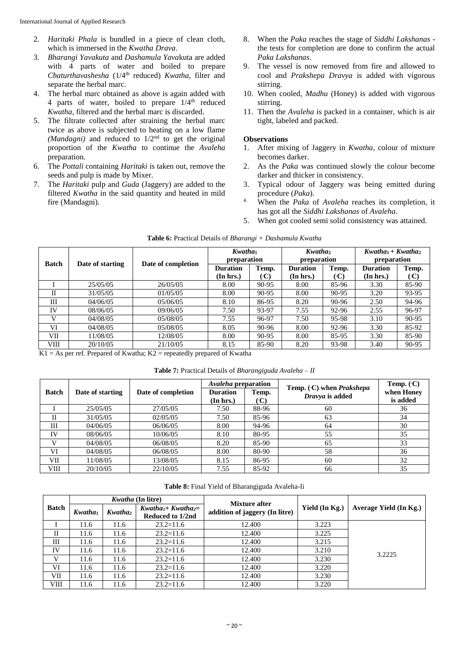- 2. *Haritaki Phala* is bundled in a piece of clean cloth, which is immersed in the *Kwatha Drava*.
- 3. *Bharangi Yavakuta* and *Dashamula Yava*kuta are added with 4 parts of water and boiled to prepare *Chaturthavashesha* (1/4th reduced) *Kwatha*, filter and separate the herbal marc.
- 4. The herbal marc obtained as above is again added with 4 parts of water, boiled to prepare  $1/4$ <sup>th</sup> reduced *Kwatha*, filtered and the herbal marc is discarded.
- 5. The filtrate collected after straining the herbal marc twice as above is subjected to heating on a low flame *(Mandagni)* and reduced to  $1/2<sup>nd</sup>$  to get the original proportion of the *Kwatha* to continue the *Avaleha* preparation.
- 6. The *Pottali* containing *Haritaki* is taken out, remove the seeds and pulp is made by Mixer.
- 7. The *Haritaki* pulp and *Guda* (Jaggery) are added to the filtered *Kwatha* in the said quantity and heated in mild fire (Mandagni).
- 8. When the *Paka* reaches the stage of *Siddhi Lakshanas*  the tests for completion are done to confirm the actual *Paka Lakshanas*.
- 9. The vessel is now removed from fire and allowed to cool and *Prakshepa Dravya* is added with vigorous stirring.
- 10. When cooled, *Madhu* (Honey) is added with vigorous stirring.
- 11. Then the *Avaleha* is packed in a container, which is air tight, labeled and packed.

#### **Observations**

- 1. After mixing of Jaggery in *Kwatha*, colour of mixture becomes darker.
- 2. As the *Paka* was continued slowly the colour become darker and thicker in consistency.
- 3. Typical odour of Jaggery was being emitted during procedure (*Paka*).
- 4. When the *Paka* of *Avaleha* reaches its completion, it has got all the *Siddhi Lakshanas* of *Avaleha*.
- 5. When got cooled semi solid consistency was attained.

| <b>Batch</b> |                  |                    |                 | Kwatha <sub>1</sub><br>Kwatha <sub>2</sub><br>preparation<br>preparation |                 |       | $Kwatha_1 + Kwatha_2$<br>preparation |                                   |
|--------------|------------------|--------------------|-----------------|--------------------------------------------------------------------------|-----------------|-------|--------------------------------------|-----------------------------------|
|              | Date of starting | Date of completion | <b>Duration</b> | Temp.                                                                    | <b>Duration</b> | Temp. | <b>Duration</b>                      | Temp.                             |
|              |                  |                    | (In hrs.)       | ('C)                                                                     | (In hrs.)       | (C)   | (In hrs.)                            | $\left( \cdot \mathbf{C} \right)$ |
|              | 25/05/05         | 26/05/05           | 8.00            | $90 - 95$                                                                | 8.00            | 85-96 | 3.30                                 | 85-90                             |
| П            | 31/05/05         | 01/05/05           | 8.00            | $90 - 95$                                                                | 8.00            | 90-95 | 3.20                                 | 93-95                             |
| Ш            | 04/06/05         | 05/06/05           | 8.10            | 86-95                                                                    | 8.20            | 90-96 | 2.50                                 | 94-96                             |
| IV           | 08/06/05         | 09/06/05           | 7.50            | 93-97                                                                    | 7.55            | 92-96 | 2.55                                 | 96-97                             |
| v            | 04/08/05         | 05/08/05           | 7.55            | 96-97                                                                    | 7.50            | 95-98 | 3.10                                 | 90-95                             |
| VI           | 04/08/05         | 05/08/05           | 8.05            | $90 - 96$                                                                | 8.00            | 92-96 | 3.30                                 | 85-92                             |
| VІІ          | 11/08/05         | 12/08/05           | 8.00            | $90 - 95$                                                                | 8.00            | 85-95 | 3.30                                 | 85-90                             |
| VIII         | 20/10/05         | 21/10/05           | 8.15            | 85-90                                                                    | 8.20            | 93-98 | 3.40                                 | 90-95                             |

 $K1 = As$  per ref. Prepared of Kwatha;  $K2$  = repeatedly prepared of Kwatha

| <b>Table 7:</b> Practical Details of <i>Bharangiguda Avaleha – II</i> |  |
|-----------------------------------------------------------------------|--|
|-----------------------------------------------------------------------|--|

|              |                  |                    | <i>Avaleha</i> preparation |                                   |                                                      | Temp. $(C)$ |
|--------------|------------------|--------------------|----------------------------|-----------------------------------|------------------------------------------------------|-------------|
| <b>Batch</b> | Date of starting | Date of completion | <b>Duration</b>            | Temp.                             | Temp. $(C)$ when <i>Prakshepa</i><br>Dravya is added | when Honey  |
|              |                  |                    | (In hrs.)                  | $\left( \cdot \mathbf{C} \right)$ |                                                      | is added    |
|              | 25/05/05         | 27/05/05           | 7.50                       | 88-96                             | 60                                                   | 36          |
|              | 31/05/05         | 02/05/05           | 7.50                       | 85-96                             | 63                                                   | 34          |
| Ш            | 04/06/05         | 06/06/05           | 8.00                       | 94-96                             | 64                                                   | 30          |
| IV           | 08/06/05         | 10/06/05           | 8.10                       | 80-95                             | 55                                                   | 35          |
|              | 04/08/05         | 06/08/05           | 8.20                       | 85-90                             | 65                                                   | 33          |
| VI           | 04/08/05         | 06/08/05           | 8.00                       | 80-90                             | 58                                                   | 36          |
| VII          | 11/08/05         | 13/08/05           | 8.15                       | 86-95                             | 60                                                   | 32          |
| VIII         | 20/10/05         | 22/10/05           | 7.55                       | 85-92                             | 66                                                   | 35          |

**Table 8:** Final Yield of Bharangiguda Avaleha-Ii

|              |                     | <i>Kwatha</i> (In litre)                                           |               | <b>Mixture after</b>           |                |                        |  |
|--------------|---------------------|--------------------------------------------------------------------|---------------|--------------------------------|----------------|------------------------|--|
| <b>Batch</b> | Kwatha <sub>1</sub> | $Kwatha_1 + Kwatha_2 =$<br>Kwatha <sub>2</sub><br>Reduced to 1/2nd |               | addition of jaggery (In litre) | Yield (In Kg.) | Average Yield (In Kg.) |  |
|              | 11.6                | 11.6                                                               | $23.2 = 11.6$ | 12.400                         | 3.223          |                        |  |
| П            | 11.6                | 11.6                                                               | $23.2 = 11.6$ | 12.400                         | 3.225          |                        |  |
| Ш            | 11.6                | 11.6                                                               | $23.2 = 11.6$ | 12.400                         | 3.215          |                        |  |
| IV           | 11.6                | 11.6                                                               | $23.2 = 11.6$ | 12.400                         | 3.210          | 3.2225                 |  |
| V            | 11.6                | 11.6                                                               | $23.2 = 11.6$ | 12.400                         | 3.230          |                        |  |
| VI           | 11.6                | 11.6                                                               | $23.2 = 11.6$ | 12.400                         | 3.220          |                        |  |
| VII          | 11.6                | 11.6                                                               | $23.2 = 11.6$ | 12.400                         | 3.230          |                        |  |
| VIII         | 11.6                | 11.6                                                               | $23.2 = 11.6$ | 12.400                         | 3.220          |                        |  |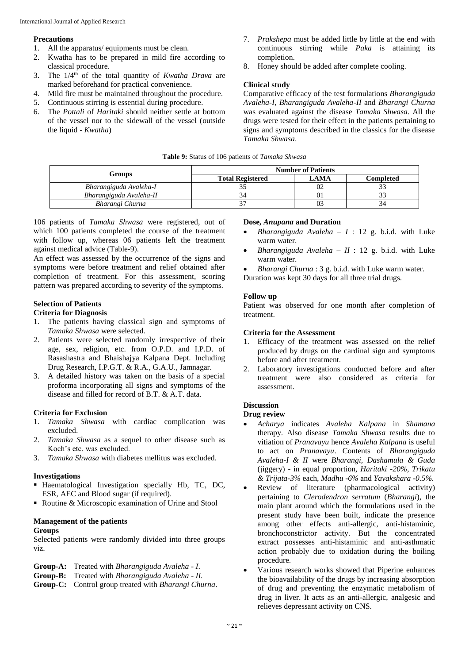#### **Precautions**

- 1. All the apparatus/ equipments must be clean.
- 2. Kwatha has to be prepared in mild fire according to classical procedure.
- 3. The 1/4th of the total quantity of *Kwatha Drava* are marked beforehand for practical convenience.
- 4. Mild fire must be maintained throughout the procedure.
- 5. Continuous stirring is essential during procedure.
- 6. The *Pottali* of *Haritaki* should neither settle at bottom of the vessel nor to the sidewall of the vessel (outside the liquid - *Kwatha*)
- 7. *Prakshepa* must be added little by little at the end with continuous stirring while *Paka* is attaining its completion.
- 8. Honey should be added after complete cooling.

#### **Clinical study**

Comparative efficacy of the test formulations *Bharangiguda Avaleha-I, Bharangiguda Avaleha-II* and *Bharangi Churna*  was evaluated against the disease *Tamaka Shwasa*. All the drugs were tested for their effect in the patients pertaining to signs and symptoms described in the classics for the disease *Tamaka Shwasa*.

#### **Table 9:** Status of 106 patients of *Tamaka Shwasa*

|                         |                         | <b>Number of Patients</b> |           |  |  |  |
|-------------------------|-------------------------|---------------------------|-----------|--|--|--|
| Groups                  | <b>Total Registered</b> | <b>LAMA</b>               | Completed |  |  |  |
| Bharangiguda Avaleha-I  |                         | 02                        |           |  |  |  |
| Bharangiguda Avaleha-II |                         |                           |           |  |  |  |
| Bharangi Churna         |                         | 03                        |           |  |  |  |

106 patients of *Tamaka Shwasa* were registered, out of which 100 patients completed the course of the treatment with follow up, whereas 06 patients left the treatment against medical advice (Table-9).

An effect was assessed by the occurrence of the signs and symptoms were before treatment and relief obtained after completion of treatment. For this assessment, scoring pattern was prepared according to severity of the symptoms.

#### **Selection of Patients**

#### **Criteria for Diagnosis**

- 1. The patients having classical sign and symptoms of *Tamaka Shwasa* were selected.
- 2. Patients were selected randomly irrespective of their age, sex, religion, etc. from O.P.D. and I.P.D. of Rasashastra and Bhaishajya Kalpana Dept. Including Drug Research, I.P.G.T. & R.A., G.A.U., Jamnagar.
- 3. A detailed history was taken on the basis of a special proforma incorporating all signs and symptoms of the disease and filled for record of B.T. & A.T. data.

#### **Criteria for Exclusion**

- 1. *Tamaka Shwasa* with cardiac complication was excluded.
- 2. *Tamaka Shwasa* as a sequel to other disease such as Koch's etc. was excluded.
- 3. *Tamaka Shwasa* with diabetes mellitus was excluded.

#### **Investigations**

- Haematological Investigation specially Hb, TC, DC, ESR, AEC and Blood sugar (if required).
- Routine & Microscopic examination of Urine and Stool

#### **Management of the patients**

#### **Groups**

Selected patients were randomly divided into three groups viz.

| <b>Group-A:</b> Treated with <i>Bharangiguda Avaleha - I.</i>  |
|----------------------------------------------------------------|
| <b>Group-B:</b> Treated with <i>Bharangiguda Avaleha - II.</i> |
| Group-C: Control group treated with Bharangi Churna.           |

#### **Dose,** *Anupana* **and Duration**

- *Bharangiguda Avaleha*  $I : 12$  *g. b.i.d.* with Luke warm water.
- *Bharangiguda Avaleha*  $II$  : 12 g. b.i.d. with Luke warm water.
- *Bharangi Churna* : 3 g. b.i.d. with Luke warm water.

Duration was kept 30 days for all three trial drugs.

#### **Follow up**

Patient was observed for one month after completion of treatment.

#### **Criteria for the Assessment**

- 1. Efficacy of the treatment was assessed on the relief produced by drugs on the cardinal sign and symptoms before and after treatment.
- 2. Laboratory investigations conducted before and after treatment were also considered as criteria for assessment.

#### **Discussion**

#### **Drug review**

- *Acharya* indicates *Avaleha Kalpana* in *Shamana* therapy. Also disease *Tamaka Shwasa* results due to vitiation of *Pranavayu* hence *Avaleha Kalpana* is useful to act on *Pranavayu*. Contents of *Bharangiguda Avaleha-I & II* were *Bharangi, Dashamula & Guda* (jiggery) - in equal proportion, *Haritaki -20%*, *Trikatu & Trijata-3%* each*, Madhu -6%* and *Yavakshara -0.5%.*
- Review of literature (pharmacological activity) pertaining to *Clerodendron serratum* (*Bharangi*), the main plant around which the formulations used in the present study have been built, indicate the presence among other effects anti-allergic, anti-histaminic, bronchoconstrictor activity. But the concentrated extract possesses anti-histaminic and anti-asthmatic action probably due to oxidation during the boiling procedure.
- Various research works showed that Piperine enhances the bioavailability of the drugs by increasing absorption of drug and preventing the enzymatic metabolism of drug in liver. It acts as an anti-allergic, analgesic and relieves depressant activity on CNS.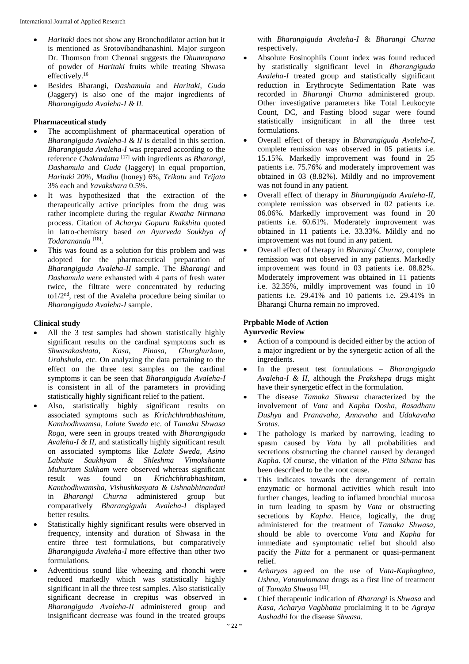- *Haritaki* does not show any Bronchodilator action but it is mentioned as Srotovibandhanashini. Major surgeon Dr. Thomson from Chennai suggests the *Dhumrapana*  of powder of *Haritaki* fruits while treating Shwasa effectively.<sup>16</sup>
- Besides Bharangi, *Dashamula* and *Haritaki*, *Guda* (Jaggery) is also one of the major ingredients of *Bharangiguda Avaleha-I & II.*

#### **Pharmaceutical study**

- The accomplishment of pharmaceutical operation of *Bharangiguda Avaleha-I & II* is detailed in this section. *Bharangiguda Avaleha-I* was prepared according to the reference *Chakradatta* [17] with ingredients as *Bharangi, Dashamula* and *Guda* (Jaggery) in equal proportion, *Haritaki* 20%, *Madhu* (honey) 6%, *Trikatu* and *Trijata* 3% each and *Yavakshara* 0.5%.
- It was hypothesized that the extraction of the therapeutically active principles from the drug was rather incomplete during the regular *Kwatha Nirmana* process. Citation of *Acharya Gopura Rakshita* quoted in Iatro-chemistry based *on Ayurveda Soukhya of Todarananda* [18] .
- This was found as a solution for this problem and was adopted for the pharmaceutical preparation of *Bharangiguda Avaleha-II* sample. The *Bharangi* and *Dashamula were* exhausted with 4 parts of fresh water twice, the filtrate were concentrated by reducing to $1/2<sup>nd</sup>$ , rest of the Avaleha procedure being similar to *Bharangiguda Avaleha-I* sample.

#### **Clinical study**

- All the 3 test samples had shown statistically highly significant results on the cardinal symptoms such as <br>Shwasakashtata, Kasa, Pinasa, Ghurghurkam. *Shwasakashtata, Kasa, Pinasa, Ghurghurkam, Urahshula*, etc. On analyzing the data pertaining to the effect on the three test samples on the cardinal symptoms it can be seen that *Bharangiguda Avaleha-I*  is consistent in all of the parameters in providing statistically highly significant relief to the patient.
- Also, statistically highly significant results on associated symptoms such as *Krichchhrabhashitam, Kanthodhwamsa, Lalate Sweda* etc. of *Tamaka Shwasa Roga,* were seen in groups treated with *Bharangiguda Avaleha-I & II,* and statistically highly significant result on associated symptoms like *Lalate Sweda, Asino Labhate Saukhyam & Shleshma Vimokshante Muhurtam Sukham* were observed whereas significant result was found on *Krichchhrabhashitam, Kanthodhwamsha, Vishushkasyata & Ushnabhinandati* in *Bharangi Churna* administered group but comparatively *Bharangiguda Avaleha-I* displayed better results.
- Statistically highly significant results were observed in frequency, intensity and duration of Shwasa in the entire three test formulations, but comparatively *Bharangiguda Avaleha-I* more effective than other two formulations.
- Adventitious sound like wheezing and rhonchi were reduced markedly which was statistically highly significant in all the three test samples. Also statistically significant decrease in crepitus was observed in *Bharangiguda Avaleha-II* administered group and insignificant decrease was found in the treated groups

with *Bharangiguda Avaleha-I* & *Bharangi Churna*  respectively.

- Absolute Eosinophils Count index was found reduced by statistically significant level in *Bharangiguda Avaleha-I* treated group and statistically significant reduction in Erythrocyte Sedimentation Rate was recorded in *Bharangi Churna* administered group. Other investigative parameters like Total Leukocyte Count, DC, and Fasting blood sugar were found statistically insignificant in all the three test formulations.
- Overall effect of therapy in *Bharangiguda Avaleha-I*, complete remission was observed in 05 patients i.e. 15.15%. Markedly improvement was found in 25 patients i.e. 75.76% and moderately improvement was obtained in 03 (8.82%). Mildly and no improvement was not found in any patient.
- Overall effect of therapy in *Bharangiguda Avaleha-II*, complete remission was observed in 02 patients i.e. 06.06%. Markedly improvement was found in 20 patients i.e. 60.61%. Moderately improvement was obtained in 11 patients i.e. 33.33%. Mildly and no improvement was not found in any patient.
- Overall effect of therapy in *Bharangi Churna*, complete remission was not observed in any patients. Markedly improvement was found in 03 patients i.e. 08.82%. Moderately improvement was obtained in 11 patients i.e. 32.35%, mildly improvement was found in 10 patients i.e. 29.41% and 10 patients i.e. 29.41% in Bharangi Churna remain no improved.

#### **Prpbable Mode of Action**

#### **Ayurvedic Review**

- Action of a compound is decided either by the action of a major ingredient or by the synergetic action of all the ingredients.
- In the present test formulations *Bharangiguda Avaleha-I & II*, although the *Prakshepa* drugs might have their synergetic effect in the formulation.
- The disease *Tamaka Shwasa* characterized by the involvement of *Vata* and *Kapha Dosha, Rasadhatu Dushya* and *Pranavaha, Annavaha* and *Udakavaha Srotas.*
- The pathology is marked by narrowing, leading to spasm caused by *Vata* by all probabilities and secretions obstructing the channel caused by deranged *Kapha.* Of course, the vitiation of the *Pitta Sthana* has been described to be the root cause.
- This indicates towards the derangement of certain enzymatic or hormonal activities which result into further changes, leading to inflamed bronchial mucosa in turn leading to spasm by *Vata* or obstructing secretions by *Kapha*. Hence, logically, the drug administered for the treatment of *Tamaka Shwasa*, should be able to overcome *Vata* and *Kapha* for immediate and symptomatic relief but should also pacify the *Pitta* for a permanent or quasi-permanent relief.
- *Acharya*s agreed on the use of *Vata-Kaphaghna, Ushna, Vatanulomana* drugs as a first line of treatment of *Tamaka Shwasa*<sup>[19]</sup>.
- Chief therapeutic indication of *Bharangi* is *Shwasa* and *Kasa, Acharya Vagbhatta* proclaiming it to be *Agraya Aushadhi* for the disease *Shwasa.*